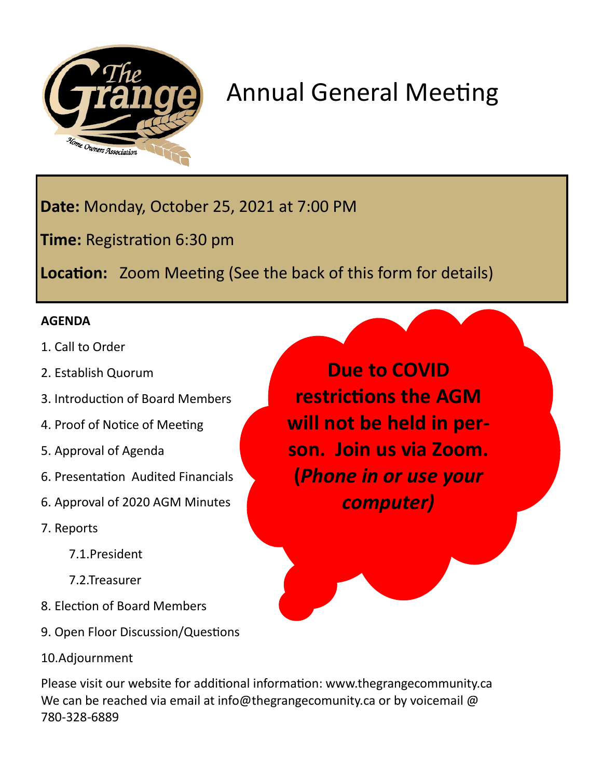

## Annual General Meeting

**Date:** Monday, October 25, 2021 at 7:00 PM

**Time:** Registration 6:30 pm

**Location:** Zoom Meeting (See the back of this form for details)

## **AGENDA**

- 1. Call to Order
- 2. Establish Quorum
- 3. Introduction of Board Members
- 4. Proof of Notice of Meeting
- 5. Approval of Agenda
- 6. Presentation Audited Financials
- 6. Approval of 2020 AGM Minutes
- 7. Reports
	- 7.1.President
	- 7.2.Treasurer
- 8. Election of Board Members
- 9. Open Floor Discussion/Questions
- 10.Adjournment

**Due to COVID restrictions the AGM will not be held in person. Join us via Zoom. (***Phone in or use your computer)*

Please visit our website for additional information: www.thegrangecommunity.ca We can be reached via email at info@thegrangecomunity.ca or by voicemail @ 780-328-6889